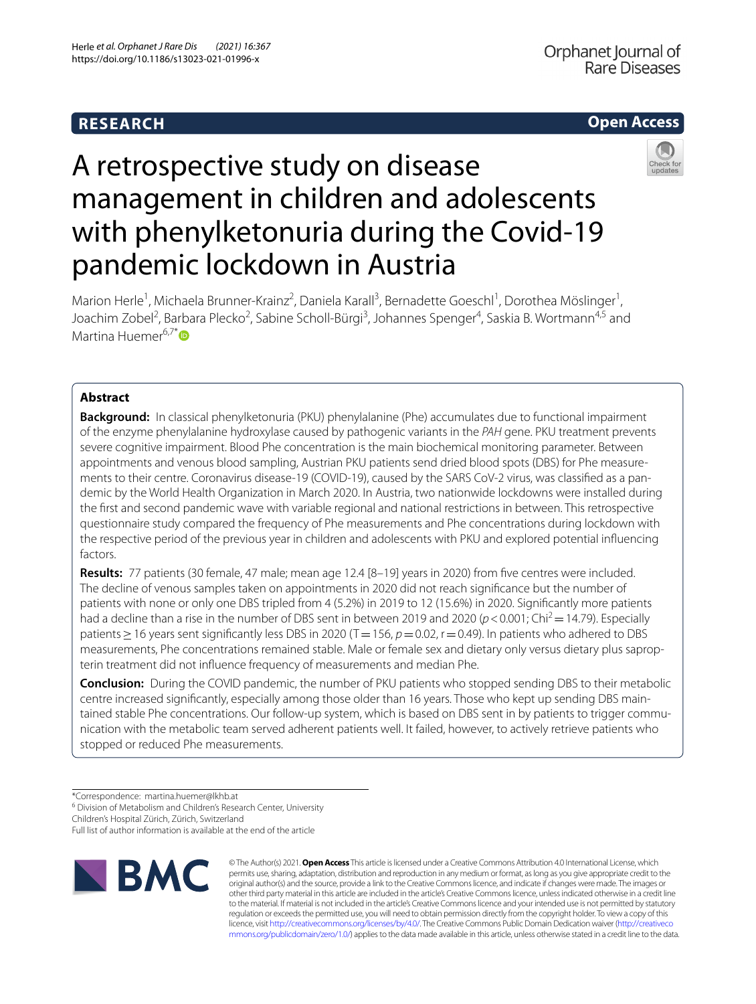# **RESEARCH**

## **Open Access**



# A retrospective study on disease management in children and adolescents with phenylketonuria during the Covid-19 pandemic lockdown in Austria

Marion Herle<sup>1</sup>, Michaela Brunner-Krainz<sup>2</sup>, Daniela Karall<sup>3</sup>, Bernadette Goeschl<sup>1</sup>, Dorothea Möslinger<sup>1</sup>, Joachim Zobel<sup>2</sup>, Barbara Plecko<sup>2</sup>, Sabine Scholl-Bürgi<sup>3</sup>, Johannes Spenger<sup>4</sup>, Saskia B. Wortmann<sup>4,5</sup> and Martina Huemer<sup>6,7[\\*](http://orcid.org/0000-0002-0590-678X)</sup> $\bullet$ 

### **Abstract**

**Background:** In classical phenylketonuria (PKU) phenylalanine (Phe) accumulates due to functional impairment of the enzyme phenylalanine hydroxylase caused by pathogenic variants in the *PAH* gene. PKU treatment prevents severe cognitive impairment. Blood Phe concentration is the main biochemical monitoring parameter. Between appointments and venous blood sampling, Austrian PKU patients send dried blood spots (DBS) for Phe measurements to their centre. Coronavirus disease-19 (COVID-19), caused by the SARS CoV-2 virus, was classified as a pandemic by the World Health Organization in March 2020. In Austria, two nationwide lockdowns were installed during the frst and second pandemic wave with variable regional and national restrictions in between. This retrospective questionnaire study compared the frequency of Phe measurements and Phe concentrations during lockdown with the respective period of the previous year in children and adolescents with PKU and explored potential infuencing factors.

**Results:** 77 patients (30 female, 47 male; mean age 12.4 [8–19] years in 2020) from fve centres were included. The decline of venous samples taken on appointments in 2020 did not reach signifcance but the number of patients with none or only one DBS tripled from 4 (5.2%) in 2019 to 12 (15.6%) in 2020. Signifcantly more patients had a decline than a rise in the number of DBS sent in between 2019 and 2020 ( $p < 0.001$ ; Chi<sup>2</sup> = 14.79). Especially patients ≥ 16 years sent significantly less DBS in 2020 (T = 156, *p* = 0.02, r = 0.49). In patients who adhered to DBS measurements, Phe concentrations remained stable. Male or female sex and dietary only versus dietary plus sapropterin treatment did not infuence frequency of measurements and median Phe.

**Conclusion:** During the COVID pandemic, the number of PKU patients who stopped sending DBS to their metabolic centre increased significantly, especially among those older than 16 years. Those who kept up sending DBS maintained stable Phe concentrations. Our follow-up system, which is based on DBS sent in by patients to trigger communication with the metabolic team served adherent patients well. It failed, however, to actively retrieve patients who stopped or reduced Phe measurements.

<sup>6</sup> Division of Metabolism and Children's Research Center, University

Children's Hospital Zürich, Zürich, Switzerland

Full list of author information is available at the end of the article



© The Author(s) 2021. **Open Access** This article is licensed under a Creative Commons Attribution 4.0 International License, which permits use, sharing, adaptation, distribution and reproduction in any medium or format, as long as you give appropriate credit to the original author(s) and the source, provide a link to the Creative Commons licence, and indicate if changes were made. The images or other third party material in this article are included in the article's Creative Commons licence, unless indicated otherwise in a credit line to the material. If material is not included in the article's Creative Commons licence and your intended use is not permitted by statutory regulation or exceeds the permitted use, you will need to obtain permission directly from the copyright holder. To view a copy of this licence, visit [http://creativecommons.org/licenses/by/4.0/.](http://creativecommons.org/licenses/by/4.0/) The Creative Commons Public Domain Dedication waiver ([http://creativeco](http://creativecommons.org/publicdomain/zero/1.0/) [mmons.org/publicdomain/zero/1.0/](http://creativecommons.org/publicdomain/zero/1.0/)) applies to the data made available in this article, unless otherwise stated in a credit line to the data.

<sup>\*</sup>Correspondence: martina.huemer@lkhb.at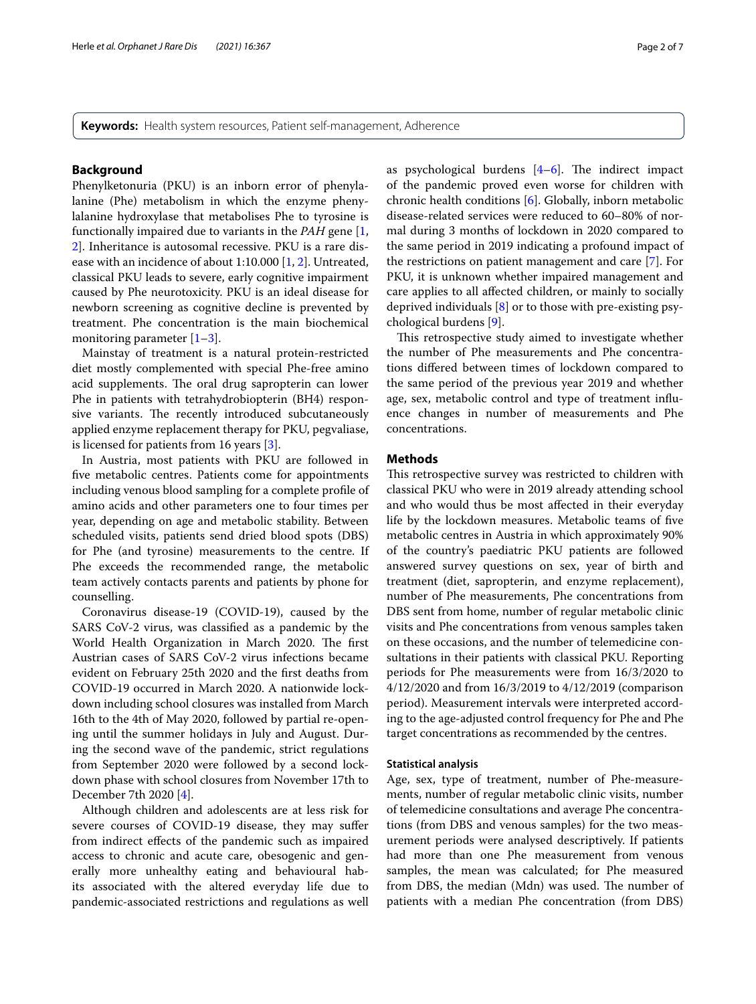**Keywords:** Health system resources, Patient self-management, Adherence

#### **Background**

Phenylketonuria (PKU) is an inborn error of phenylalanine (Phe) metabolism in which the enzyme phenylalanine hydroxylase that metabolises Phe to tyrosine is functionally impaired due to variants in the *PAH* gene [\[1](#page-5-0), [2\]](#page-5-1). Inheritance is autosomal recessive. PKU is a rare disease with an incidence of about 1:10.000 [\[1](#page-5-0), [2](#page-5-1)]. Untreated, classical PKU leads to severe, early cognitive impairment caused by Phe neurotoxicity. PKU is an ideal disease for newborn screening as cognitive decline is prevented by treatment. Phe concentration is the main biochemical monitoring parameter [\[1–](#page-5-0)[3\]](#page-5-2).

Mainstay of treatment is a natural protein-restricted diet mostly complemented with special Phe-free amino acid supplements. The oral drug sapropterin can lower Phe in patients with tetrahydrobiopterin (BH4) responsive variants. The recently introduced subcutaneously applied enzyme replacement therapy for PKU, pegvaliase, is licensed for patients from 16 years [\[3\]](#page-5-2).

In Austria, most patients with PKU are followed in fve metabolic centres. Patients come for appointments including venous blood sampling for a complete profle of amino acids and other parameters one to four times per year, depending on age and metabolic stability. Between scheduled visits, patients send dried blood spots (DBS) for Phe (and tyrosine) measurements to the centre. If Phe exceeds the recommended range, the metabolic team actively contacts parents and patients by phone for counselling.

Coronavirus disease-19 (COVID-19), caused by the SARS CoV-2 virus, was classifed as a pandemic by the World Health Organization in March 2020. The first Austrian cases of SARS CoV-2 virus infections became evident on February 25th 2020 and the frst deaths from COVID-19 occurred in March 2020. A nationwide lockdown including school closures was installed from March 16th to the 4th of May 2020, followed by partial re-opening until the summer holidays in July and August. During the second wave of the pandemic, strict regulations from September 2020 were followed by a second lockdown phase with school closures from November 17th to December 7th 2020 [\[4](#page-5-3)].

Although children and adolescents are at less risk for severe courses of COVID-19 disease, they may sufer from indirect efects of the pandemic such as impaired access to chronic and acute care, obesogenic and generally more unhealthy eating and behavioural habits associated with the altered everyday life due to pandemic-associated restrictions and regulations as well as psychological burdens  $[4-6]$  $[4-6]$ . The indirect impact of the pandemic proved even worse for children with chronic health conditions [[6\]](#page-5-4). Globally, inborn metabolic disease-related services were reduced to 60–80% of normal during 3 months of lockdown in 2020 compared to the same period in 2019 indicating a profound impact of the restrictions on patient management and care [[7\]](#page-5-5). For PKU, it is unknown whether impaired management and care applies to all afected children, or mainly to socially deprived individuals [\[8](#page-5-6)] or to those with pre-existing psychological burdens [\[9](#page-5-7)].

This retrospective study aimed to investigate whether the number of Phe measurements and Phe concentrations difered between times of lockdown compared to the same period of the previous year 2019 and whether age, sex, metabolic control and type of treatment infuence changes in number of measurements and Phe concentrations.

#### **Methods**

This retrospective survey was restricted to children with classical PKU who were in 2019 already attending school and who would thus be most afected in their everyday life by the lockdown measures. Metabolic teams of fve metabolic centres in Austria in which approximately 90% of the country's paediatric PKU patients are followed answered survey questions on sex, year of birth and treatment (diet, sapropterin, and enzyme replacement), number of Phe measurements, Phe concentrations from DBS sent from home, number of regular metabolic clinic visits and Phe concentrations from venous samples taken on these occasions, and the number of telemedicine consultations in their patients with classical PKU. Reporting periods for Phe measurements were from 16/3/2020 to 4/12/2020 and from 16/3/2019 to 4/12/2019 (comparison period). Measurement intervals were interpreted according to the age-adjusted control frequency for Phe and Phe target concentrations as recommended by the centres.

#### **Statistical analysis**

Age, sex, type of treatment, number of Phe-measurements, number of regular metabolic clinic visits, number of telemedicine consultations and average Phe concentrations (from DBS and venous samples) for the two measurement periods were analysed descriptively. If patients had more than one Phe measurement from venous samples, the mean was calculated; for Phe measured from DBS, the median (Mdn) was used. The number of patients with a median Phe concentration (from DBS)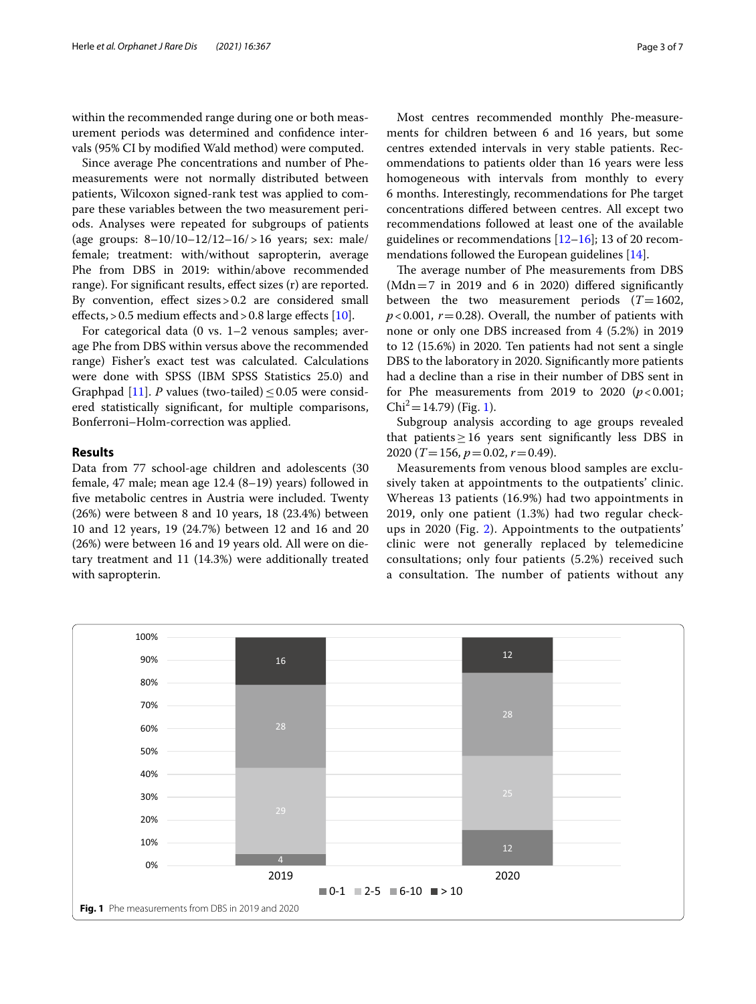within the recommended range during one or both measurement periods was determined and confdence intervals (95% CI by modifed Wald method) were computed.

Since average Phe concentrations and number of Phemeasurements were not normally distributed between patients, Wilcoxon signed-rank test was applied to compare these variables between the two measurement periods. Analyses were repeated for subgroups of patients (age groups: 8–10/10–12/12–16/>16 years; sex: male/ female; treatment: with/without sapropterin, average Phe from DBS in 2019: within/above recommended range). For signifcant results, efect sizes (r) are reported. By convention, effect sizes > 0.2 are considered small effects,  $> 0.5$  medium effects and  $> 0.8$  large effects [\[10](#page-5-8)].

For categorical data (0 vs. 1–2 venous samples; average Phe from DBS within versus above the recommended range) Fisher's exact test was calculated. Calculations were done with SPSS (IBM SPSS Statistics 25.0) and Graphpad [\[11\]](#page-5-9). *P* values (two-tailed)  $\leq$  0.05 were considered statistically signifcant, for multiple comparisons, Bonferroni–Holm-correction was applied.

#### **Results**

Data from 77 school-age children and adolescents (30 female, 47 male; mean age 12.4 (8–19) years) followed in fve metabolic centres in Austria were included. Twenty (26%) were between 8 and 10 years, 18 (23.4%) between 10 and 12 years, 19 (24.7%) between 12 and 16 and 20 (26%) were between 16 and 19 years old. All were on dietary treatment and 11 (14.3%) were additionally treated with sapropterin.

Most centres recommended monthly Phe-measurements for children between 6 and 16 years, but some centres extended intervals in very stable patients. Recommendations to patients older than 16 years were less homogeneous with intervals from monthly to every 6 months. Interestingly, recommendations for Phe target concentrations difered between centres. All except two recommendations followed at least one of the available guidelines or recommendations  $[12-16]$  $[12-16]$ ; 13 of 20 recommendations followed the European guidelines [\[14](#page-5-12)].

The average number of Phe measurements from DBS (Mdn=7 in 2019 and 6 in 2020) difered signifcantly between the two measurement periods (*T*=1602,  $p$ <0.001,  $r$  = 0.28). Overall, the number of patients with none or only one DBS increased from 4 (5.2%) in 2019 to 12 (15.6%) in 2020. Ten patients had not sent a single DBS to the laboratory in 2020. Signifcantly more patients had a decline than a rise in their number of DBS sent in for Phe measurements from 2019 to 2020  $(p<0.001;$  $Chi^2 = 14.79$  (Fig. [1\)](#page-2-0).

Subgroup analysis according to age groups revealed that patients  $\geq 16$  years sent significantly less DBS in 2020 (*T*=156, *p*=0.02, *r*=0.49).

Measurements from venous blood samples are exclusively taken at appointments to the outpatients' clinic. Whereas 13 patients (16.9%) had two appointments in 2019, only one patient (1.3%) had two regular checkups in 2020 (Fig. [2](#page-3-0)). Appointments to the outpatients' clinic were not generally replaced by telemedicine consultations; only four patients (5.2%) received such a consultation. The number of patients without any

<span id="page-2-0"></span>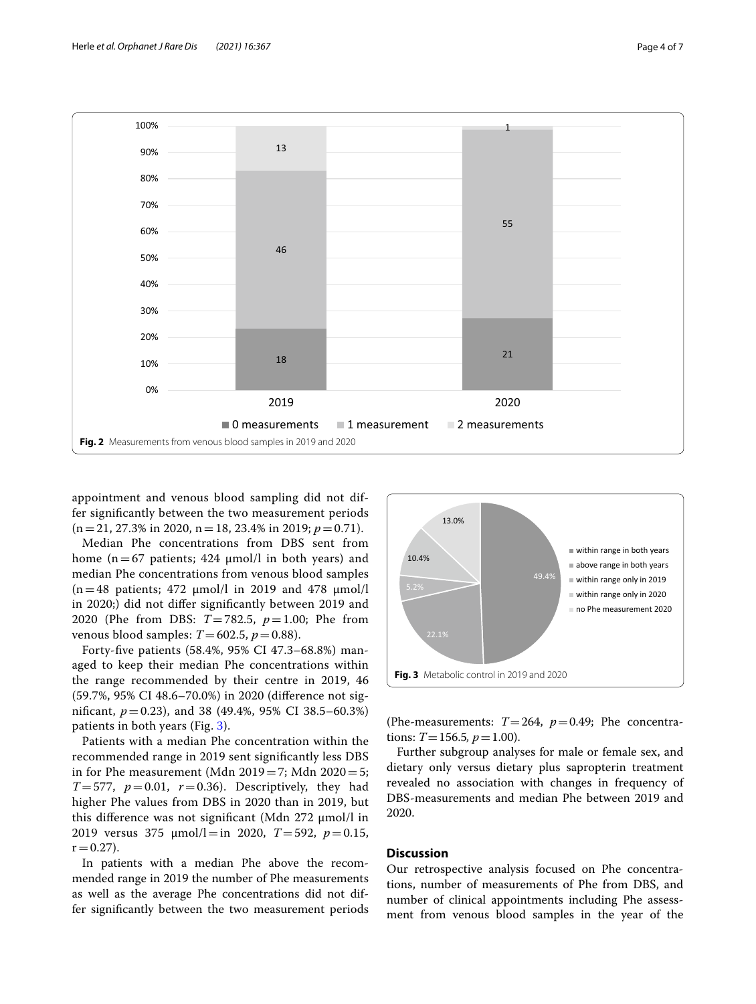

<span id="page-3-0"></span>appointment and venous blood sampling did not differ signifcantly between the two measurement periods  $(n=21, 27.3\% \text{ in } 2020, n=18, 23.4\% \text{ in } 2019; p=0.71).$ 

Median Phe concentrations from DBS sent from home ( $n=67$  patients; 424  $\mu$ mol/l in both years) and median Phe concentrations from venous blood samples  $(n=48 \text{ patients}; 472 \text{ µmol/l in } 2019 \text{ and } 478 \text{ µmol/l}$ in 2020;) did not difer signifcantly between 2019 and 2020 (Phe from DBS: *T*=782.5, *p*=1.00; Phe from venous blood samples:  $T=602.5$ ,  $p=0.88$ ).

Forty-fve patients (58.4%, 95% CI 47.3–68.8%) managed to keep their median Phe concentrations within the range recommended by their centre in 2019, 46 (59.7%, 95% CI 48.6–70.0%) in 2020 (diference not signifcant, *p*=0.23), and 38 (49.4%, 95% CI 38.5–60.3%) patients in both years (Fig. [3\)](#page-3-1).

Patients with a median Phe concentration within the recommended range in 2019 sent signifcantly less DBS in for Phe measurement (Mdn  $2019=7$ ; Mdn  $2020=5$ ;  $T=577$ ,  $p=0.01$ ,  $r=0.36$ ). Descriptively, they had higher Phe values from DBS in 2020 than in 2019, but this diference was not signifcant (Mdn 272 µmol/l in 2019 versus 375 µmol/l=in 2020, *T*=592, *p*=0.15,  $r = 0.27$ ).

In patients with a median Phe above the recommended range in 2019 the number of Phe measurements as well as the average Phe concentrations did not differ signifcantly between the two measurement periods



<span id="page-3-1"></span>(Phe-measurements:  $T=264$ ,  $p=0.49$ ; Phe concentrations:  $T = 156.5, p = 1.00$ .

Further subgroup analyses for male or female sex, and dietary only versus dietary plus sapropterin treatment revealed no association with changes in frequency of DBS-measurements and median Phe between 2019 and 2020.

#### **Discussion**

Our retrospective analysis focused on Phe concentrations, number of measurements of Phe from DBS, and number of clinical appointments including Phe assessment from venous blood samples in the year of the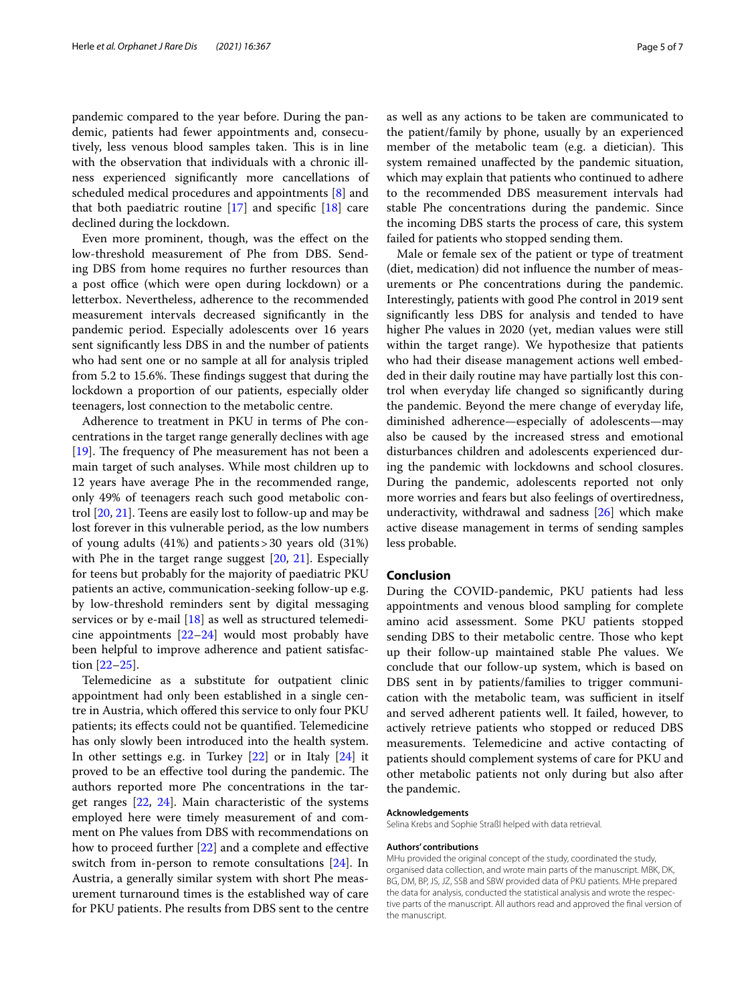pandemic compared to the year before. During the pandemic, patients had fewer appointments and, consecutively, less venous blood samples taken. This is in line with the observation that individuals with a chronic illness experienced signifcantly more cancellations of scheduled medical procedures and appointments [[8](#page-5-6)] and that both paediatric routine  $[17]$  and specific  $[18]$  $[18]$  care declined during the lockdown.

Even more prominent, though, was the efect on the low-threshold measurement of Phe from DBS. Sending DBS from home requires no further resources than a post office (which were open during lockdown) or a letterbox. Nevertheless, adherence to the recommended measurement intervals decreased signifcantly in the pandemic period. Especially adolescents over 16 years sent signifcantly less DBS in and the number of patients who had sent one or no sample at all for analysis tripled from 5.2 to 15.6%. These findings suggest that during the lockdown a proportion of our patients, especially older teenagers, lost connection to the metabolic centre.

Adherence to treatment in PKU in terms of Phe concentrations in the target range generally declines with age [ $19$ ]. The frequency of Phe measurement has not been a main target of such analyses. While most children up to 12 years have average Phe in the recommended range, only 49% of teenagers reach such good metabolic control [[20,](#page-5-16) [21\]](#page-5-17). Teens are easily lost to follow-up and may be lost forever in this vulnerable period, as the low numbers of young adults (41%) and patients>30 years old (31%) with Phe in the target range suggest [[20](#page-5-16), [21](#page-5-17)]. Especially for teens but probably for the majority of paediatric PKU patients an active, communication-seeking follow-up e.g. by low-threshold reminders sent by digital messaging services or by e-mail [\[18](#page-5-14)] as well as structured telemedicine appointments [[22–](#page-5-18)[24](#page-5-19)] would most probably have been helpful to improve adherence and patient satisfaction [[22–](#page-5-18)[25](#page-5-20)].

Telemedicine as a substitute for outpatient clinic appointment had only been established in a single centre in Austria, which ofered this service to only four PKU patients; its efects could not be quantifed. Telemedicine has only slowly been introduced into the health system. In other settings e.g. in Turkey [[22\]](#page-5-18) or in Italy [\[24](#page-5-19)] it proved to be an effective tool during the pandemic. The authors reported more Phe concentrations in the target ranges [[22](#page-5-18), [24\]](#page-5-19). Main characteristic of the systems employed here were timely measurement of and comment on Phe values from DBS with recommendations on how to proceed further [\[22\]](#page-5-18) and a complete and efective switch from in-person to remote consultations [[24](#page-5-19)]. In Austria, a generally similar system with short Phe measurement turnaround times is the established way of care for PKU patients. Phe results from DBS sent to the centre

as well as any actions to be taken are communicated to the patient/family by phone, usually by an experienced member of the metabolic team (e.g. a dietician). This system remained unafected by the pandemic situation, which may explain that patients who continued to adhere to the recommended DBS measurement intervals had stable Phe concentrations during the pandemic. Since the incoming DBS starts the process of care, this system failed for patients who stopped sending them.

Male or female sex of the patient or type of treatment (diet, medication) did not infuence the number of measurements or Phe concentrations during the pandemic. Interestingly, patients with good Phe control in 2019 sent signifcantly less DBS for analysis and tended to have higher Phe values in 2020 (yet, median values were still within the target range). We hypothesize that patients who had their disease management actions well embedded in their daily routine may have partially lost this control when everyday life changed so signifcantly during the pandemic. Beyond the mere change of everyday life, diminished adherence—especially of adolescents—may also be caused by the increased stress and emotional disturbances children and adolescents experienced during the pandemic with lockdowns and school closures. During the pandemic, adolescents reported not only more worries and fears but also feelings of overtiredness, underactivity, withdrawal and sadness [\[26\]](#page-6-0) which make active disease management in terms of sending samples less probable.

#### **Conclusion**

During the COVID-pandemic, PKU patients had less appointments and venous blood sampling for complete amino acid assessment. Some PKU patients stopped sending DBS to their metabolic centre. Those who kept up their follow-up maintained stable Phe values. We conclude that our follow-up system, which is based on DBS sent in by patients/families to trigger communication with the metabolic team, was sufficient in itself and served adherent patients well. It failed, however, to actively retrieve patients who stopped or reduced DBS measurements. Telemedicine and active contacting of patients should complement systems of care for PKU and other metabolic patients not only during but also after the pandemic.

#### **Acknowledgements**

Selina Krebs and Sophie Straßl helped with data retrieval.

#### **Authors' contributions**

MHu provided the original concept of the study, coordinated the study, organised data collection, and wrote main parts of the manuscript. MBK, DK, BG, DM, BP, JS, JZ, SSB and SBW provided data of PKU patients. MHe prepared the data for analysis, conducted the statistical analysis and wrote the respective parts of the manuscript. All authors read and approved the fnal version of the manuscript.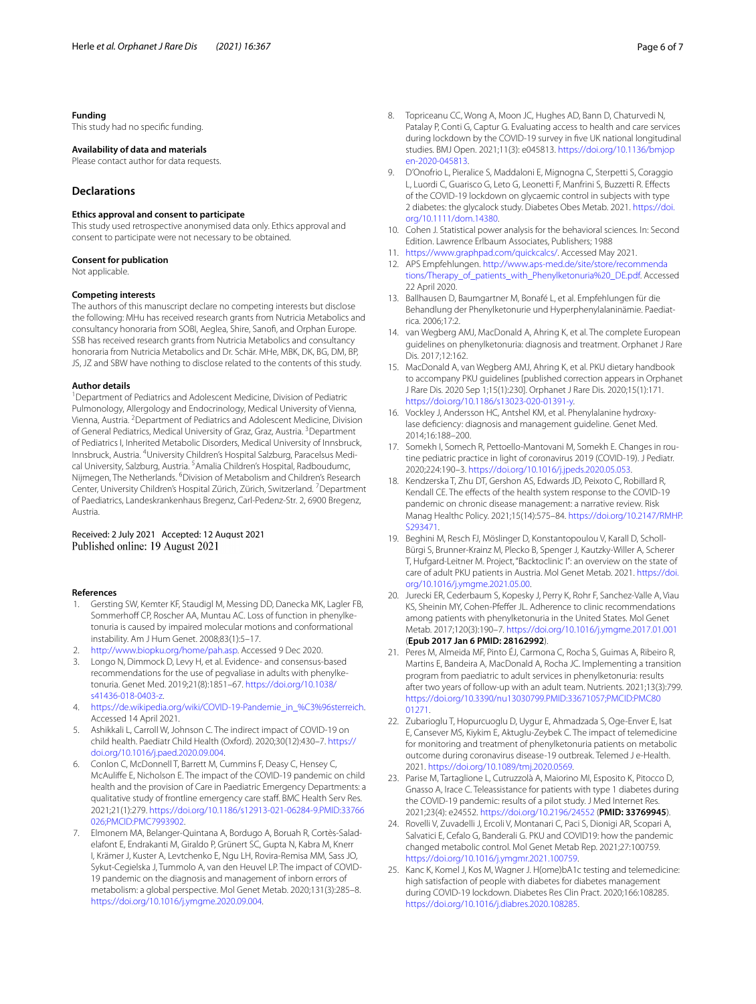#### **Funding**

This study had no specifc funding.

#### **Availability of data and materials**

Please contact author for data requests.

#### **Declarations**

#### **Ethics approval and consent to participate**

This study used retrospective anonymised data only. Ethics approval and consent to participate were not necessary to be obtained.

#### **Consent for publication**

Not applicable.

#### **Competing interests**

The authors of this manuscript declare no competing interests but disclose the following: MHu has received research grants from Nutricia Metabolics and consultancy honoraria from SOBI, Aeglea, Shire, Sanof, and Orphan Europe. SSB has received research grants from Nutricia Metabolics and consultancy honoraria from Nutricia Metabolics and Dr. Schär. MHe, MBK, DK, BG, DM, BP, JS, JZ and SBW have nothing to disclose related to the contents of this study.

#### **Author details**

<sup>1</sup> Department of Pediatrics and Adolescent Medicine, Division of Pediatric Pulmonology, Allergology and Endocrinology, Medical University of Vienna, Vienna, Austria. <sup>2</sup> Department of Pediatrics and Adolescent Medicine, Division of General Pediatrics, Medical University of Graz, Graz, Austria. <sup>3</sup>Department of Pediatrics I, Inherited Metabolic Disorders, Medical University of Innsbruck, Innsbruck, Austria. <sup>4</sup>University Children's Hospital Salzburg, Paracelsus Medical University, Salzburg, Austria. <sup>5</sup> Amalia Children's Hospital, Radboudumc, Nijmegen, The Netherlands. <sup>6</sup> Division of Metabolism and Children's Research Center, University Children's Hospital Zürich, Zürich, Switzerland. <sup>7</sup> Department of Paediatrics, Landeskrankenhaus Bregenz, Carl‑Pedenz‑Str. 2, 6900 Bregenz, Austria.

# Received: 2 July 2021 Accepted: 12 August 2021

#### **References**

- <span id="page-5-0"></span>1. Gersting SW, Kemter KF, Staudigl M, Messing DD, Danecka MK, Lagler FB, Sommerhoff CP, Roscher AA, Muntau AC. Loss of function in phenylketonuria is caused by impaired molecular motions and conformational instability. Am J Hum Genet. 2008;83(1):5–17.
- <span id="page-5-1"></span>2. <http://www.biopku.org/home/pah.asp>. Accessed 9 Dec 2020.
- <span id="page-5-2"></span>Longo N, Dimmock D, Levy H, et al. Evidence- and consensus-based recommendations for the use of pegvaliase in adults with phenylketonuria. Genet Med. 2019;21(8):1851–67. [https://doi.org/10.1038/](https://doi.org/10.1038/s41436-018-0403-z) [s41436-018-0403-z](https://doi.org/10.1038/s41436-018-0403-z).
- <span id="page-5-3"></span>4. [https://de.wikipedia.org/wiki/COVID-19-Pandemie\\_in\\_%C3%96sterreich.](https://de.wikipedia.org/wiki/COVID-19-Pandemie_in_%C3%96sterreich) Accessed 14 April 2021.
- 5. Ashikkali L, Carroll W, Johnson C. The indirect impact of COVID-19 on child health. Paediatr Child Health (Oxford). 2020;30(12):430–7. [https://](https://doi.org/10.1016/j.paed.2020.09.004) [doi.org/10.1016/j.paed.2020.09.004](https://doi.org/10.1016/j.paed.2020.09.004).
- <span id="page-5-4"></span>6. Conlon C, McDonnell T, Barrett M, Cummins F, Deasy C, Hensey C, McAulife E, Nicholson E. The impact of the COVID-19 pandemic on child health and the provision of Care in Paediatric Emergency Departments: a qualitative study of frontline emergency care staf. BMC Health Serv Res. 2021;21(1):279. [https://doi.org/10.1186/s12913-021-06284-9.PMID:33766](https://doi.org/10.1186/s12913-021-06284-9.PMID:33766026;PMCID:PMC7993902) [026;PMCID:PMC7993902.](https://doi.org/10.1186/s12913-021-06284-9.PMID:33766026;PMCID:PMC7993902)
- <span id="page-5-5"></span>7. Elmonem MA, Belanger-Quintana A, Bordugo A, Boruah R, Cortès-Saladelafont E, Endrakanti M, Giraldo P, Grünert SC, Gupta N, Kabra M, Knerr I, Krämer J, Kuster A, Levtchenko E, Ngu LH, Rovira-Remisa MM, Sass JO, Sykut-Cegielska J, Tummolo A, van den Heuvel LP. The impact of COVID-19 pandemic on the diagnosis and management of inborn errors of metabolism: a global perspective. Mol Genet Metab. 2020;131(3):285–8. <https://doi.org/10.1016/j.ymgme.2020.09.004>.
- <span id="page-5-6"></span>8. Topriceanu CC, Wong A, Moon JC, Hughes AD, Bann D, Chaturvedi N, Patalay P, Conti G, Captur G. Evaluating access to health and care services during lockdown by the COVID-19 survey in fve UK national longitudinal studies. BMJ Open. 2021;11(3): e045813. [https://doi.org/10.1136/bmjop](https://doi.org/10.1136/bmjopen-2020-045813) [en-2020-045813](https://doi.org/10.1136/bmjopen-2020-045813).
- <span id="page-5-7"></span>9. D'Onofrio L, Pieralice S, Maddaloni E, Mignogna C, Sterpetti S, Coraggio L, Luordi C, Guarisco G, Leto G, Leonetti F, Manfrini S, Buzzetti R. Efects of the COVID-19 lockdown on glycaemic control in subjects with type 2 diabetes: the glycalock study. Diabetes Obes Metab. 2021. [https://doi.](https://doi.org/10.1111/dom.14380) [org/10.1111/dom.14380](https://doi.org/10.1111/dom.14380).
- <span id="page-5-8"></span>10. Cohen J. Statistical power analysis for the behavioral sciences. In: Second Edition. Lawrence Erlbaum Associates, Publishers; 1988
- <span id="page-5-9"></span>11. <https://www.graphpad.com/quickcalcs/>. Accessed May 2021.
- <span id="page-5-10"></span>12. APS Empfehlungen. [http://www.aps-med.de/site/store/recommenda](http://www.aps-med.de/site/store/recommendations/Therapy_of_patients_with_Phenylketonuria%20_DE.pdf) [tions/Therapy\\_of\\_patients\\_with\\_Phenylketonuria%20\\_DE.pdf](http://www.aps-med.de/site/store/recommendations/Therapy_of_patients_with_Phenylketonuria%20_DE.pdf). Accessed 22 April 2020.
- 13. Ballhausen D, Baumgartner M, Bonafé L, et al. Empfehlungen für die Behandlung der Phenylketonurie und Hyperphenylalaninämie. Paediatrica. 2006;17:2.
- <span id="page-5-12"></span>14. van Wegberg AMJ, MacDonald A, Ahring K, et al. The complete European guidelines on phenylketonuria: diagnosis and treatment. Orphanet J Rare Dis. 2017;12:162.
- 15. MacDonald A, van Wegberg AMJ, Ahring K, et al. PKU dietary handbook to accompany PKU guidelines [published correction appears in Orphanet J Rare Dis. 2020 Sep 1;15(1):230]. Orphanet J Rare Dis. 2020;15(1):171. [https://doi.org/10.1186/s13023-020-01391-y.](https://doi.org/10.1186/s13023-020-01391-y)
- <span id="page-5-11"></span>16. Vockley J, Andersson HC, Antshel KM, et al. Phenylalanine hydroxylase defciency: diagnosis and management guideline. Genet Med. 2014;16:188–200.
- <span id="page-5-13"></span>17. Somekh I, Somech R, Pettoello-Mantovani M, Somekh E. Changes in routine pediatric practice in light of coronavirus 2019 (COVID-19). J Pediatr. 2020;224:190–3.<https://doi.org/10.1016/j.jpeds.2020.05.053>.
- <span id="page-5-14"></span>18. Kendzerska T, Zhu DT, Gershon AS, Edwards JD, Peixoto C, Robillard R, Kendall CE. The effects of the health system response to the COVID-19 pandemic on chronic disease management: a narrative review. Risk Manag Healthc Policy. 2021;15(14):575–84. [https://doi.org/10.2147/RMHP.](https://doi.org/10.2147/RMHP.S293471) [S293471](https://doi.org/10.2147/RMHP.S293471).
- <span id="page-5-15"></span>19. Beghini M, Resch FJ, Möslinger D, Konstantopoulou V, Karall D, Scholl-Bürgi S, Brunner-Krainz M, Plecko B, Spenger J, Kautzky-Willer A, Scherer T, Hufgard-Leitner M. Project, "Backtoclinic I": an overview on the state of care of adult PKU patients in Austria. Mol Genet Metab. 2021. [https://doi.](https://doi.org/10.1016/j.ymgme.2021.05.00) [org/10.1016/j.ymgme.2021.05.00.](https://doi.org/10.1016/j.ymgme.2021.05.00)
- <span id="page-5-16"></span>20. Jurecki ER, Cederbaum S, Kopesky J, Perry K, Rohr F, Sanchez-Valle A, Viau KS, Sheinin MY, Cohen-Pfefer JL. Adherence to clinic recommendations among patients with phenylketonuria in the United States. Mol Genet Metab. 2017;120(3):190–7.<https://doi.org/10.1016/j.ymgme.2017.01.001> (**Epub 2017 Jan 6 PMID: 28162992**).
- <span id="page-5-17"></span>21. Peres M, Almeida MF, Pinto ÉJ, Carmona C, Rocha S, Guimas A, Ribeiro R, Martins E, Bandeira A, MacDonald A, Rocha JC. Implementing a transition program from paediatric to adult services in phenylketonuria: results after two years of follow-up with an adult team. Nutrients. 2021;13(3):799. [https://doi.org/10.3390/nu13030799.PMID:33671057;PMCID:PMC80](https://doi.org/10.3390/nu13030799.PMID:33671057;PMCID:PMC8001271) [01271](https://doi.org/10.3390/nu13030799.PMID:33671057;PMCID:PMC8001271).
- <span id="page-5-18"></span>22. Zubarioglu T, Hopurcuoglu D, Uygur E, Ahmadzada S, Oge-Enver E, Isat E, Cansever MS, Kiykim E, Aktuglu-Zeybek C. The impact of telemedicine for monitoring and treatment of phenylketonuria patients on metabolic outcome during coronavirus disease-19 outbreak. Telemed J e-Health. 2021.<https://doi.org/10.1089/tmj.2020.0569>.
- 23. Parise M, Tartaglione L, Cutruzzolà A, Maiorino MI, Esposito K, Pitocco D, Gnasso A, Irace C. Teleassistance for patients with type 1 diabetes during the COVID-19 pandemic: results of a pilot study. J Med Internet Res. 2021;23(4): e24552.<https://doi.org/10.2196/24552>(**PMID: 33769945**).
- <span id="page-5-19"></span>24. Rovelli V, Zuvadelli J, Ercoli V, Montanari C, Paci S, Dionigi AR, Scopari A, Salvatici E, Cefalo G, Banderali G. PKU and COVID19: how the pandemic changed metabolic control. Mol Genet Metab Rep. 2021;27:100759. <https://doi.org/10.1016/j.ymgmr.2021.100759>.
- <span id="page-5-20"></span>25. Kanc K, Komel J, Kos M, Wagner J. H(ome)bA1c testing and telemedicine: high satisfaction of people with diabetes for diabetes management during COVID-19 lockdown. Diabetes Res Clin Pract. 2020;166:108285. <https://doi.org/10.1016/j.diabres.2020.108285>.